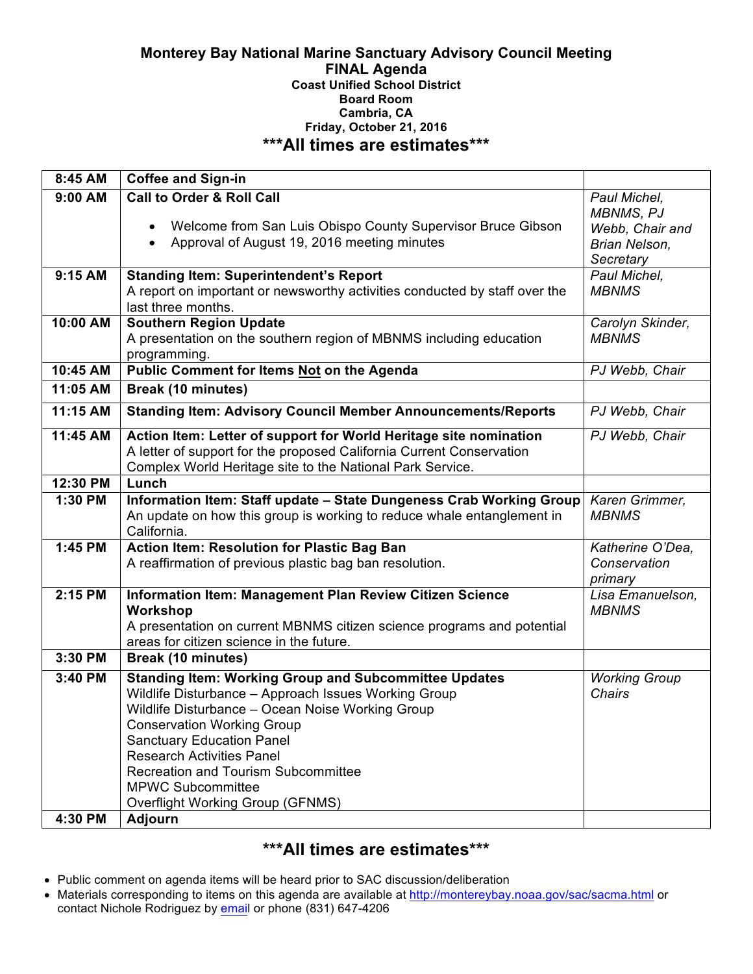### **Monterey Bay National Marine Sanctuary Advisory Council Meeting FINAL Agenda Coast Unified School District Board Room Cambria, CA Friday, October 21, 2016 \*\*\*All times are estimates\*\*\***

| 8:45 AM   | <b>Coffee and Sign-in</b>                                                                                                                                                                                                                                                                                                                                                                           |                                                                                   |
|-----------|-----------------------------------------------------------------------------------------------------------------------------------------------------------------------------------------------------------------------------------------------------------------------------------------------------------------------------------------------------------------------------------------------------|-----------------------------------------------------------------------------------|
| $9:00$ AM | <b>Call to Order &amp; Roll Call</b><br>Welcome from San Luis Obispo County Supervisor Bruce Gibson<br>$\bullet$<br>Approval of August 19, 2016 meeting minutes<br>$\bullet$                                                                                                                                                                                                                        | Paul Michel,<br><b>MBNMS, PJ</b><br>Webb, Chair and<br>Brian Nelson,<br>Secretary |
| 9:15 AM   | <b>Standing Item: Superintendent's Report</b><br>A report on important or newsworthy activities conducted by staff over the<br>last three months.                                                                                                                                                                                                                                                   | Paul Michel,<br><b>MBNMS</b>                                                      |
| 10:00 AM  | <b>Southern Region Update</b><br>A presentation on the southern region of MBNMS including education<br>programming.                                                                                                                                                                                                                                                                                 | Carolyn Skinder,<br><b>MBNMS</b>                                                  |
| 10:45 AM  | Public Comment for Items Not on the Agenda                                                                                                                                                                                                                                                                                                                                                          | PJ Webb, Chair                                                                    |
| 11:05 AM  | <b>Break (10 minutes)</b>                                                                                                                                                                                                                                                                                                                                                                           |                                                                                   |
| 11:15 AM  | <b>Standing Item: Advisory Council Member Announcements/Reports</b>                                                                                                                                                                                                                                                                                                                                 | PJ Webb, Chair                                                                    |
| 11:45 AM  | Action Item: Letter of support for World Heritage site nomination<br>A letter of support for the proposed California Current Conservation<br>Complex World Heritage site to the National Park Service.                                                                                                                                                                                              | PJ Webb, Chair                                                                    |
| 12:30 PM  | Lunch                                                                                                                                                                                                                                                                                                                                                                                               |                                                                                   |
| 1:30 PM   | Information Item: Staff update - State Dungeness Crab Working Group<br>An update on how this group is working to reduce whale entanglement in<br>California.                                                                                                                                                                                                                                        | Karen Grimmer,<br><b>MBNMS</b>                                                    |
| 1:45 PM   | <b>Action Item: Resolution for Plastic Bag Ban</b><br>A reaffirmation of previous plastic bag ban resolution.                                                                                                                                                                                                                                                                                       | Katherine O'Dea,<br>Conservation<br>primary                                       |
| 2:15 PM   | Information Item: Management Plan Review Citizen Science<br>Workshop<br>A presentation on current MBNMS citizen science programs and potential<br>areas for citizen science in the future.                                                                                                                                                                                                          | Lisa Emanuelson,<br><b>MBNMS</b>                                                  |
| 3:30 PM   | <b>Break (10 minutes)</b>                                                                                                                                                                                                                                                                                                                                                                           |                                                                                   |
| 3:40 PM   | <b>Standing Item: Working Group and Subcommittee Updates</b><br>Wildlife Disturbance - Approach Issues Working Group<br>Wildlife Disturbance - Ocean Noise Working Group<br><b>Conservation Working Group</b><br><b>Sanctuary Education Panel</b><br><b>Research Activities Panel</b><br><b>Recreation and Tourism Subcommittee</b><br><b>MPWC Subcommittee</b><br>Overflight Working Group (GFNMS) | <b>Working Group</b><br><b>Chairs</b>                                             |
| 4:30 PM   | <b>Adjourn</b>                                                                                                                                                                                                                                                                                                                                                                                      |                                                                                   |

# **\*\*\*All times are estimates\*\*\***

- Public comment on agenda items will be heard prior to SAC discussion/deliberation
- Materials corresponding to items on this agenda are available at http://montereybay.noaa.gov/sac/sacma.html or contact Nichole Rodriguez by email or phone (831) 647-4206